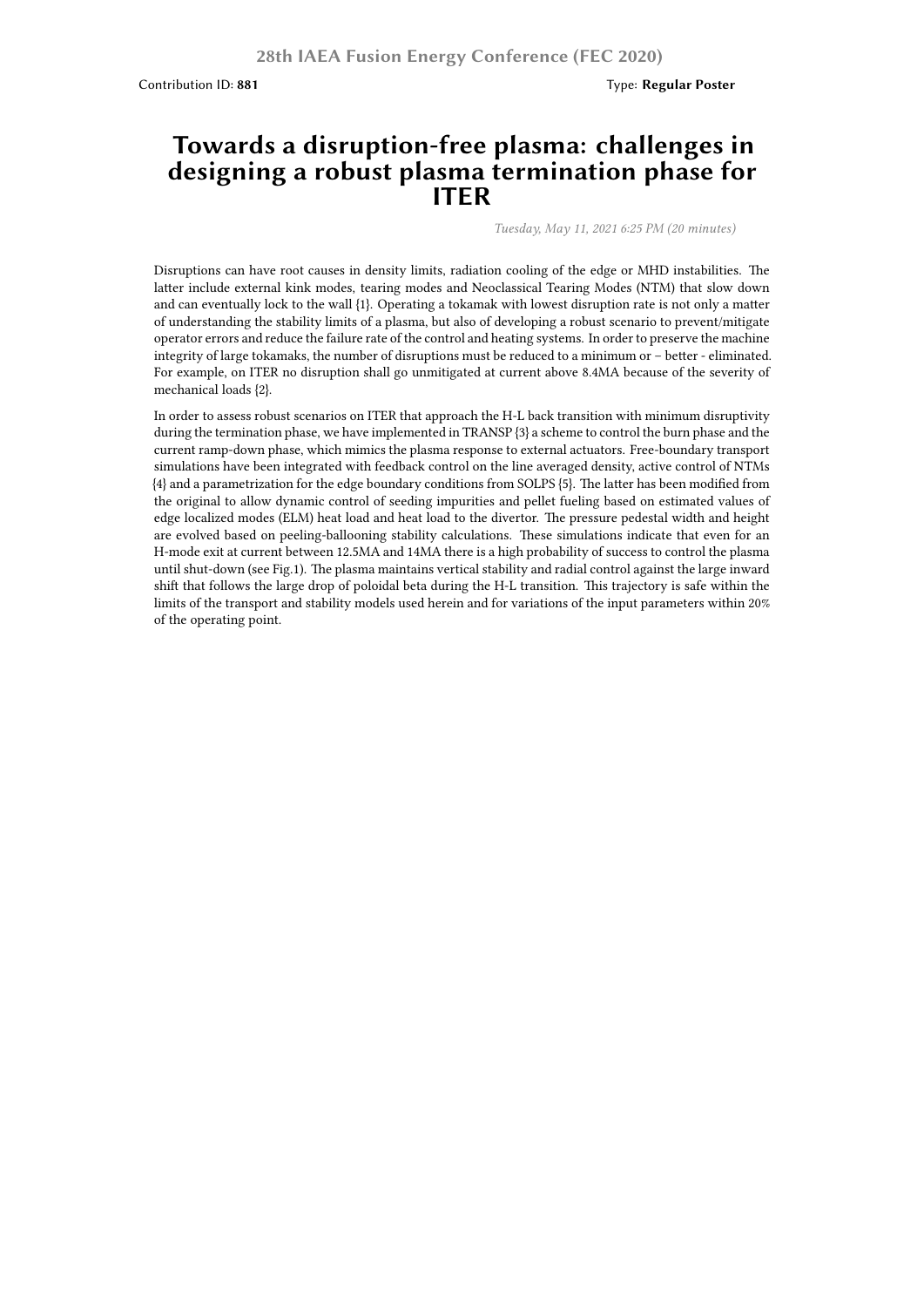## **Towards a disruption-free plasma: challenges in designing a robust plasma termination phase for ITER**

*Tuesday, May 11, 2021 6:25 PM (20 minutes)*

Disruptions can have root causes in density limits, radiation cooling of the edge or MHD instabilities. The latter include external kink modes, tearing modes and Neoclassical Tearing Modes (NTM) that slow down and can eventually lock to the wall {1}. Operating a tokamak with lowest disruption rate is not only a matter of understanding the stability limits of a plasma, but also of developing a robust scenario to prevent/mitigate operator errors and reduce the failure rate of the control and heating systems. In order to preserve the machine integrity of large tokamaks, the number of disruptions must be reduced to a minimum or – better - eliminated. For example, on ITER no disruption shall go unmitigated at current above 8.4MA because of the severity of mechanical loads {2}.

In order to assess robust scenarios on ITER that approach the H-L back transition with minimum disruptivity during the termination phase, we have implemented in TRANSP {3} a scheme to control the burn phase and the current ramp-down phase, which mimics the plasma response to external actuators. Free-boundary transport simulations have been integrated with feedback control on the line averaged density, active control of NTMs {4} and a parametrization for the edge boundary conditions from SOLPS {5}. The latter has been modified from the original to allow dynamic control of seeding impurities and pellet fueling based on estimated values of edge localized modes (ELM) heat load and heat load to the divertor. The pressure pedestal width and height are evolved based on peeling-ballooning stability calculations. These simulations indicate that even for an H-mode exit at current between 12.5MA and 14MA there is a high probability of success to control the plasma until shut-down (see Fig.1). The plasma maintains vertical stability and radial control against the large inward shift that follows the large drop of poloidal beta during the H-L transition. This trajectory is safe within the limits of the transport and stability models used herein and for variations of the input parameters within 20% of the operating point.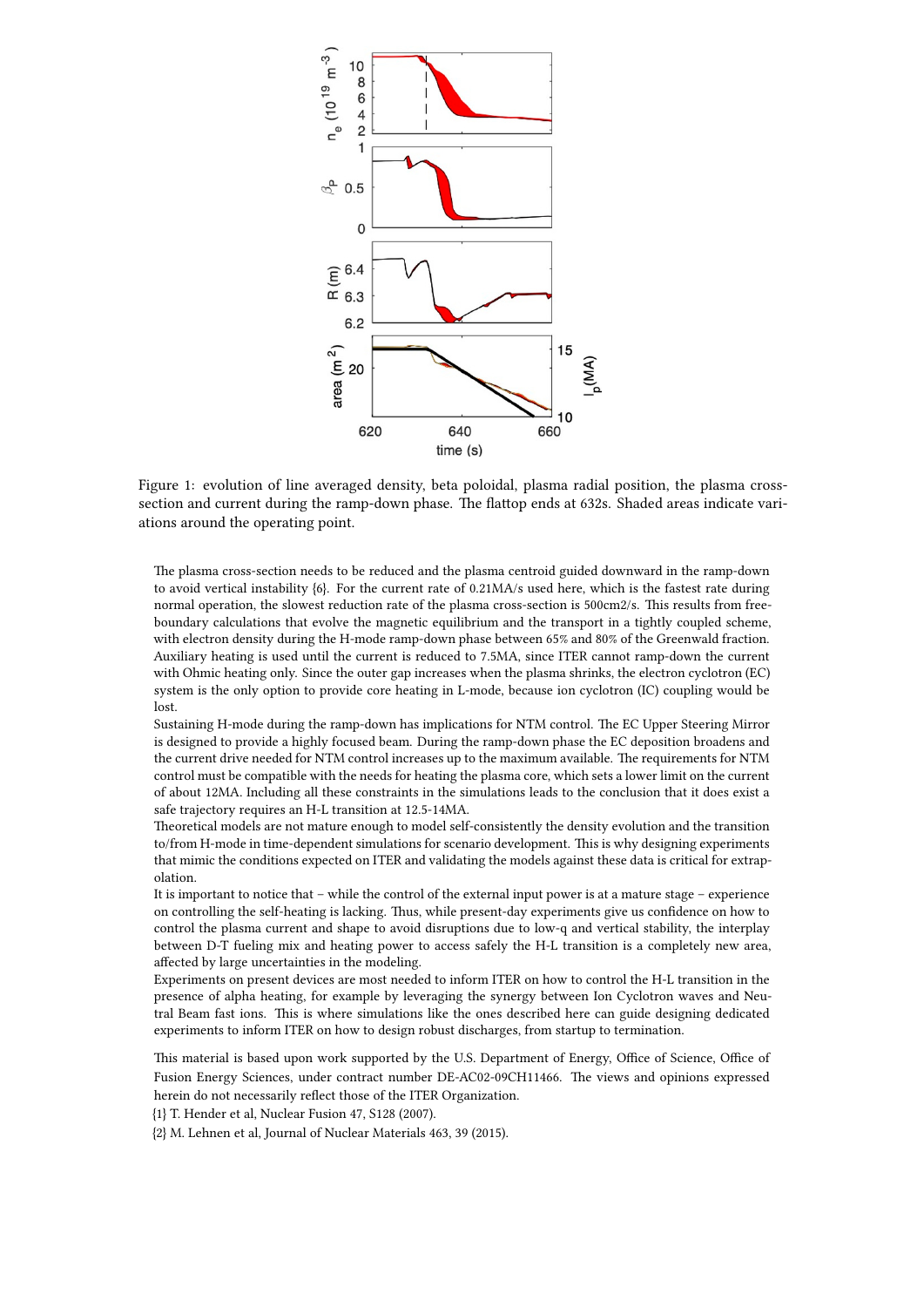

Figure 1: evolution of line averaged density, beta poloidal, plasma radial position, the plasma crosssection and current during the ramp-down phase. The flattop ends at 632s. Shaded areas indicate variations around the operating point.

The plasma cross-section needs to be reduced and the plasma centroid guided downward in the ramp-down to avoid vertical instability {6}. For the current rate of 0.21MA/s used here, which is the fastest rate during normal operation, the slowest reduction rate of the plasma cross-section is 500cm2/s. This results from freeboundary calculations that evolve the magnetic equilibrium and the transport in a tightly coupled scheme, with electron density during the H-mode ramp-down phase between 65% and 80% of the Greenwald fraction. Auxiliary heating is used until the current is reduced to 7.5MA, since ITER cannot ramp-down the current with Ohmic heating only. Since the outer gap increases when the plasma shrinks, the electron cyclotron (EC) system is the only option to provide core heating in L-mode, because ion cyclotron (IC) coupling would be lost.

Sustaining H-mode during the ramp-down has implications for NTM control. The EC Upper Steering Mirror is designed to provide a highly focused beam. During the ramp-down phase the EC deposition broadens and the current drive needed for NTM control increases up to the maximum available. The requirements for NTM control must be compatible with the needs for heating the plasma core, which sets a lower limit on the current of about 12MA. Including all these constraints in the simulations leads to the conclusion that it does exist a safe trajectory requires an H-L transition at 12.5-14MA.

Theoretical models are not mature enough to model self-consistently the density evolution and the transition to/from H-mode in time-dependent simulations for scenario development. This is why designing experiments that mimic the conditions expected on ITER and validating the models against these data is critical for extrapolation.

It is important to notice that – while the control of the external input power is at a mature stage – experience on controlling the self-heating is lacking. Thus, while present-day experiments give us confidence on how to control the plasma current and shape to avoid disruptions due to low-q and vertical stability, the interplay between D-T fueling mix and heating power to access safely the H-L transition is a completely new area, affected by large uncertainties in the modeling.

Experiments on present devices are most needed to inform ITER on how to control the H-L transition in the presence of alpha heating, for example by leveraging the synergy between Ion Cyclotron waves and Neutral Beam fast ions. This is where simulations like the ones described here can guide designing dedicated experiments to inform ITER on how to design robust discharges, from startup to termination.

This material is based upon work supported by the U.S. Department of Energy, Office of Science, Office of Fusion Energy Sciences, under contract number DE-AC02-09CH11466. The views and opinions expressed herein do not necessarily reflect those of the ITER Organization.

{1} T. Hender et al, Nuclear Fusion 47, S128 (2007).

{2} M. Lehnen et al, Journal of Nuclear Materials 463, 39 (2015).